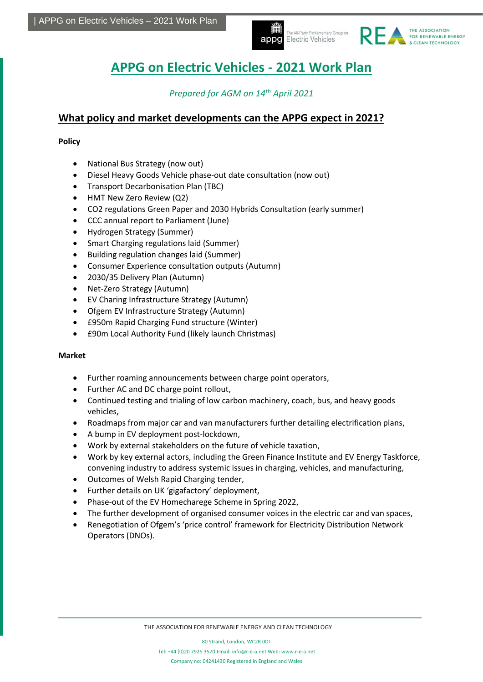



# **APPG on Electric Vehicles - 2021 Work Plan**

### *Prepared for AGM on 14th April 2021*

### **What policy and market developments can the APPG expect in 2021?**

**Policy**

- National Bus Strategy (now out)
- Diesel Heavy Goods Vehicle phase-out date consultation (now out)
- Transport Decarbonisation Plan (TBC)
- HMT New Zero Review (Q2)
- CO2 regulations Green Paper and 2030 Hybrids Consultation (early summer)
- CCC annual report to Parliament (June)
- Hydrogen Strategy (Summer)
- Smart Charging regulations laid (Summer)
- Building regulation changes laid (Summer)
- Consumer Experience consultation outputs (Autumn)
- 2030/35 Delivery Plan (Autumn)
- Net-Zero Strategy (Autumn)
- EV Charing Infrastructure Strategy (Autumn)
- Ofgem EV Infrastructure Strategy (Autumn)
- £950m Rapid Charging Fund structure (Winter)
- £90m Local Authority Fund (likely launch Christmas)

#### **Market**

- Further roaming announcements between charge point operators,
- Further AC and DC charge point rollout,
- Continued testing and trialing of low carbon machinery, coach, bus, and heavy goods vehicles,
- Roadmaps from major car and van manufacturers further detailing electrification plans,
- A bump in EV deployment post-lockdown,
- Work by external stakeholders on the future of vehicle taxation,
- Work by key external actors, including the Green Finance Institute and EV Energy Taskforce, convening industry to address systemic issues in charging, vehicles, and manufacturing,
- Outcomes of Welsh Rapid Charging tender,
- Further details on UK 'gigafactory' deployment,
- Phase-out of the EV Homecharege Scheme in Spring 2022,
- The further development of organised consumer voices in the electric car and van spaces,
- Renegotiation of Ofgem's 'price control' framework for Electricity Distribution Network Operators (DNOs).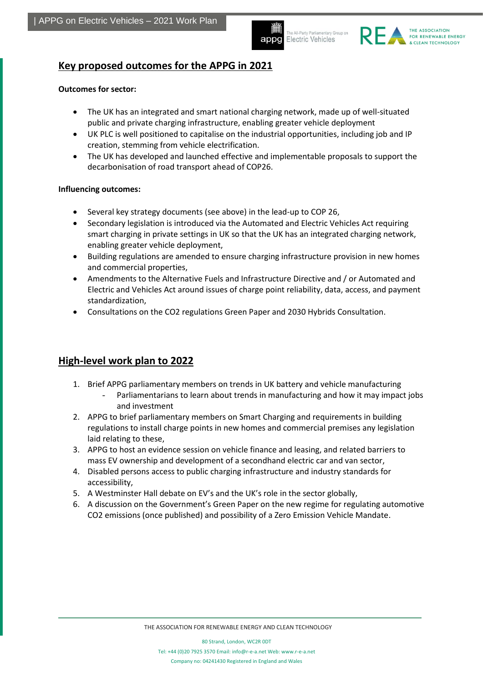appg

The All-Party Parliamentary Group on Electric Vehicles



### **Key proposed outcomes for the APPG in 2021**

#### **Outcomes for sector:**

- The UK has an integrated and smart national charging network, made up of well-situated public and private charging infrastructure, enabling greater vehicle deployment
- UK PLC is well positioned to capitalise on the industrial opportunities, including job and IP creation, stemming from vehicle electrification.
- The UK has developed and launched effective and implementable proposals to support the decarbonisation of road transport ahead of COP26.

#### **Influencing outcomes:**

- Several key strategy documents (see above) in the lead-up to COP 26,
- Secondary legislation is introduced via the Automated and Electric Vehicles Act requiring smart charging in private settings in UK so that the UK has an integrated charging network, enabling greater vehicle deployment,
- Building regulations are amended to ensure charging infrastructure provision in new homes and commercial properties,
- Amendments to the Alternative Fuels and Infrastructure Directive and / or Automated and Electric and Vehicles Act around issues of charge point reliability, data, access, and payment standardization,
- Consultations on the CO2 regulations Green Paper and 2030 Hybrids Consultation.

### **High-level work plan to 2022**

- 1. Brief APPG parliamentary members on trends in UK battery and vehicle manufacturing
	- Parliamentarians to learn about trends in manufacturing and how it may impact jobs and investment
- 2. APPG to brief parliamentary members on Smart Charging and requirements in building regulations to install charge points in new homes and commercial premises any legislation laid relating to these,
- 3. APPG to host an evidence session on vehicle finance and leasing, and related barriers to mass EV ownership and development of a secondhand electric car and van sector,
- 4. Disabled persons access to public charging infrastructure and industry standards for accessibility,
- 5. A Westminster Hall debate on EV's and the UK's role in the sector globally,
- 6. A discussion on the Government's Green Paper on the new regime for regulating automotive CO2 emissions (once published) and possibility of a Zero Emission Vehicle Mandate.